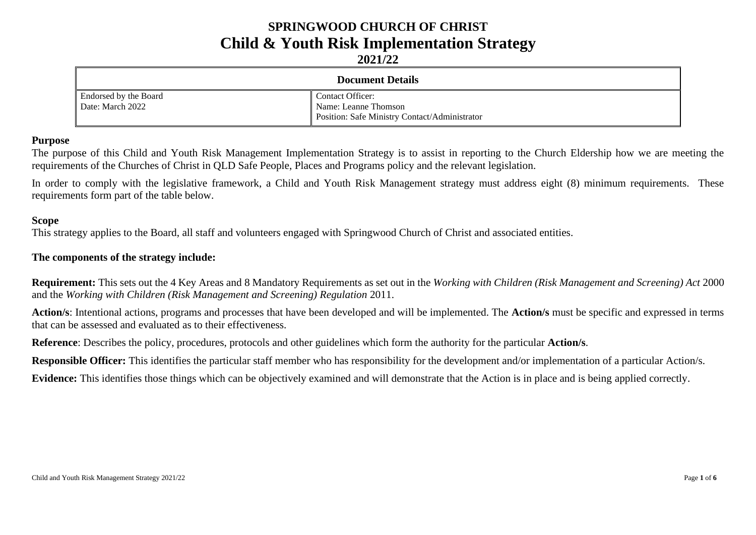# **SPRINGWOOD CHURCH OF CHRIST Child & Youth Risk Implementation Strategy**

**2021/22**

| <b>Document Details</b>                   |                                                                                                  |  |  |
|-------------------------------------------|--------------------------------------------------------------------------------------------------|--|--|
| Endorsed by the Board<br>Date: March 2022 | <b>Contact Officer:</b><br>Name: Leanne Thomson<br>Position: Safe Ministry Contact/Administrator |  |  |

#### **Purpose**

The purpose of this Child and Youth Risk Management Implementation Strategy is to assist in reporting to the Church Eldership how we are meeting the requirements of the Churches of Christ in QLD Safe People, Places and Programs policy and the relevant legislation.

In order to comply with the legislative framework, a Child and Youth Risk Management strategy must address eight (8) minimum requirements. These requirements form part of the table below.

#### **Scope**

This strategy applies to the Board, all staff and volunteers engaged with Springwood Church of Christ and associated entities.

#### **The components of the strategy include:**

**Requirement:** This sets out the 4 Key Areas and 8 Mandatory Requirements as set out in the *Working with Children (Risk Management and Screening) Act* 2000 and the *Working with Children (Risk Management and Screening) Regulation* 2011.

**Action/s**: Intentional actions, programs and processes that have been developed and will be implemented. The **Action/s** must be specific and expressed in terms that can be assessed and evaluated as to their effectiveness.

**Reference**: Describes the policy, procedures, protocols and other guidelines which form the authority for the particular **Action/s**.

**Responsible Officer:** This identifies the particular staff member who has responsibility for the development and/or implementation of a particular Action/s.

**Evidence:** This identifies those things which can be objectively examined and will demonstrate that the Action is in place and is being applied correctly.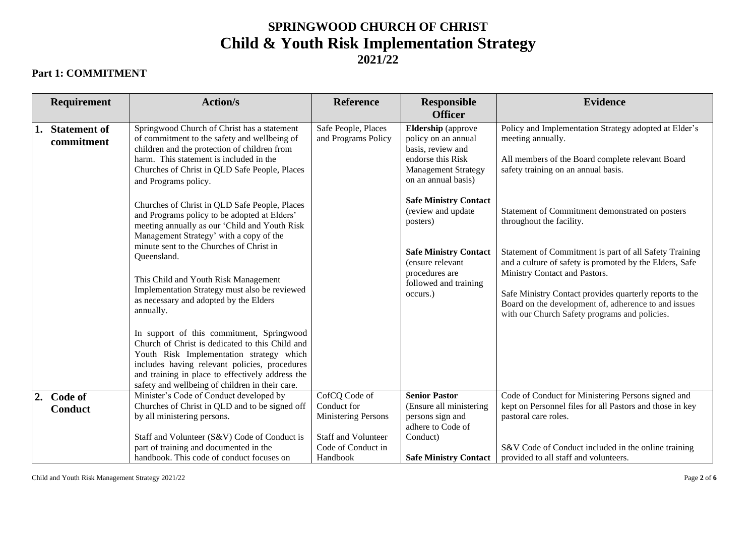## **SPRINGWOOD CHURCH OF CHRIST Child & Youth Risk Implementation Strategy 2021/22**

### **Part 1: COMMITMENT**

|    | Requirement                   | <b>Action/s</b>                                                                                                                                                                                                                                                                                  | <b>Reference</b>                                                                                        | <b>Responsible</b><br><b>Officer</b>                                                                                                            | <b>Evidence</b>                                                                                                                                                                                                                                              |
|----|-------------------------------|--------------------------------------------------------------------------------------------------------------------------------------------------------------------------------------------------------------------------------------------------------------------------------------------------|---------------------------------------------------------------------------------------------------------|-------------------------------------------------------------------------------------------------------------------------------------------------|--------------------------------------------------------------------------------------------------------------------------------------------------------------------------------------------------------------------------------------------------------------|
|    | 1. Statement of<br>commitment | Springwood Church of Christ has a statement<br>of commitment to the safety and wellbeing of<br>children and the protection of children from<br>harm. This statement is included in the<br>Churches of Christ in QLD Safe People, Places<br>and Programs policy.                                  | Safe People, Places<br>and Programs Policy                                                              | <b>Eldership</b> (approve<br>policy on an annual<br>basis, review and<br>endorse this Risk<br><b>Management Strategy</b><br>on an annual basis) | Policy and Implementation Strategy adopted at Elder's<br>meeting annually.<br>All members of the Board complete relevant Board<br>safety training on an annual basis.                                                                                        |
|    |                               | Churches of Christ in QLD Safe People, Places<br>and Programs policy to be adopted at Elders'<br>meeting annually as our 'Child and Youth Risk<br>Management Strategy' with a copy of the<br>minute sent to the Churches of Christ in                                                            |                                                                                                         | <b>Safe Ministry Contact</b><br>(review and update<br>posters)<br><b>Safe Ministry Contact</b>                                                  | Statement of Commitment demonstrated on posters<br>throughout the facility.<br>Statement of Commitment is part of all Safety Training                                                                                                                        |
|    |                               | Queensland.<br>This Child and Youth Risk Management<br>Implementation Strategy must also be reviewed<br>as necessary and adopted by the Elders<br>annually.                                                                                                                                      |                                                                                                         | (ensure relevant<br>procedures are<br>followed and training<br>occurs.)                                                                         | and a culture of safety is promoted by the Elders, Safe<br>Ministry Contact and Pastors.<br>Safe Ministry Contact provides quarterly reports to the<br>Board on the development of, adherence to and issues<br>with our Church Safety programs and policies. |
|    |                               | In support of this commitment, Springwood<br>Church of Christ is dedicated to this Child and<br>Youth Risk Implementation strategy which<br>includes having relevant policies, procedures<br>and training in place to effectively address the<br>safety and wellbeing of children in their care. |                                                                                                         |                                                                                                                                                 |                                                                                                                                                                                                                                                              |
| 2. | Code of<br><b>Conduct</b>     | Minister's Code of Conduct developed by<br>Churches of Christ in QLD and to be signed off<br>by all ministering persons.<br>Staff and Volunteer (S&V) Code of Conduct is<br>part of training and documented in the                                                                               | CofCQ Code of<br>Conduct for<br>Ministering Persons<br><b>Staff and Volunteer</b><br>Code of Conduct in | <b>Senior Pastor</b><br>(Ensure all ministering<br>persons sign and<br>adhere to Code of<br>Conduct)                                            | Code of Conduct for Ministering Persons signed and<br>kept on Personnel files for all Pastors and those in key<br>pastoral care roles.<br>S&V Code of Conduct included in the online training                                                                |
|    |                               | handbook. This code of conduct focuses on                                                                                                                                                                                                                                                        | Handbook                                                                                                | <b>Safe Ministry Contact</b>                                                                                                                    | provided to all staff and volunteers.                                                                                                                                                                                                                        |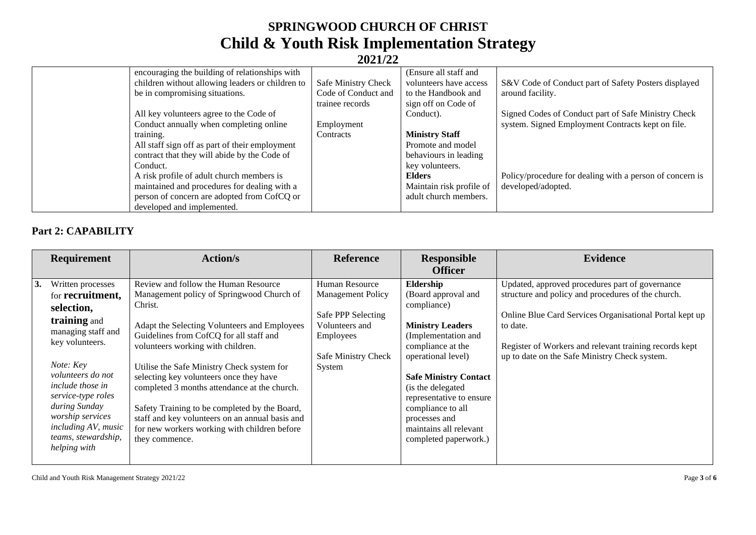## **SPRINGWOOD CHURCH OF CHRIST Child & Youth Risk Implementation Strategy 2021/22**

| encouraging the building of relationships with   |                     | (Ensure all staff and    |                                                          |
|--------------------------------------------------|---------------------|--------------------------|----------------------------------------------------------|
| children without allowing leaders or children to | Safe Ministry Check | volunteers have access   | S&V Code of Conduct part of Safety Posters displayed     |
| be in compromising situations.                   | Code of Conduct and | to the Handbook and      | around facility.                                         |
|                                                  | trainee records     | sign off on Code of      |                                                          |
| All key volunteers agree to the Code of          |                     | Conduct).                | Signed Codes of Conduct part of Safe Ministry Check      |
| Conduct annually when completing online          | Employment          |                          | system. Signed Employment Contracts kept on file.        |
| training.                                        | Contracts           | <b>Ministry Staff</b>    |                                                          |
| All staff sign off as part of their employment   |                     | Promote and model        |                                                          |
| contract that they will abide by the Code of     |                     | behaviours in leading    |                                                          |
| Conduct.                                         |                     | key volunteers.          |                                                          |
| A risk profile of adult church members is        |                     | Elders                   | Policy/procedure for dealing with a person of concern is |
| maintained and procedures for dealing with a     |                     | Maintain risk profile of | developed/adopted.                                       |
| person of concern are adopted from CofCQ or      |                     | adult church members.    |                                                          |
| developed and implemented.                       |                     |                          |                                                          |

### **Part 2: CAPABILITY**

|    | Requirement                                                                                                                                                                                                                                                                                        | <b>Action/s</b>                                                                                                                                                                                                                                                                                                                                                                                                                                                                                                                             | <b>Reference</b>                                                                                                                 | <b>Responsible</b><br><b>Officer</b>                                                                                                                                                                                                                                                                                    | <b>Evidence</b>                                                                                                                                                                                                                                                                         |
|----|----------------------------------------------------------------------------------------------------------------------------------------------------------------------------------------------------------------------------------------------------------------------------------------------------|---------------------------------------------------------------------------------------------------------------------------------------------------------------------------------------------------------------------------------------------------------------------------------------------------------------------------------------------------------------------------------------------------------------------------------------------------------------------------------------------------------------------------------------------|----------------------------------------------------------------------------------------------------------------------------------|-------------------------------------------------------------------------------------------------------------------------------------------------------------------------------------------------------------------------------------------------------------------------------------------------------------------------|-----------------------------------------------------------------------------------------------------------------------------------------------------------------------------------------------------------------------------------------------------------------------------------------|
| 3. | Written processes<br>for recruitment,<br>selection,<br>training and<br>managing staff and<br>key volunteers.<br>Note: Key<br>volunteers do not<br><i>include those in</i><br>service-type roles<br>during Sunday<br>worship services<br>including AV, music<br>teams, stewardship,<br>helping with | Review and follow the Human Resource<br>Management policy of Springwood Church of<br>Christ.<br>Adapt the Selecting Volunteers and Employees<br>Guidelines from CofCQ for all staff and<br>volunteers working with children.<br>Utilise the Safe Ministry Check system for<br>selecting key volunteers once they have<br>completed 3 months attendance at the church.<br>Safety Training to be completed by the Board,<br>staff and key volunteers on an annual basis and<br>for new workers working with children before<br>they commence. | Human Resource<br><b>Management Policy</b><br>Safe PPP Selecting<br>Volunteers and<br>Employees<br>Safe Ministry Check<br>System | Eldership<br>(Board approval and<br>compliance)<br><b>Ministry Leaders</b><br>(Implementation and<br>compliance at the<br>operational level)<br><b>Safe Ministry Contact</b><br>(is the delegated)<br>representative to ensure<br>compliance to all<br>processes and<br>maintains all relevant<br>completed paperwork.) | Updated, approved procedures part of governance<br>structure and policy and procedures of the church.<br>Online Blue Card Services Organisational Portal kept up<br>to date.<br>Register of Workers and relevant training records kept<br>up to date on the Safe Ministry Check system. |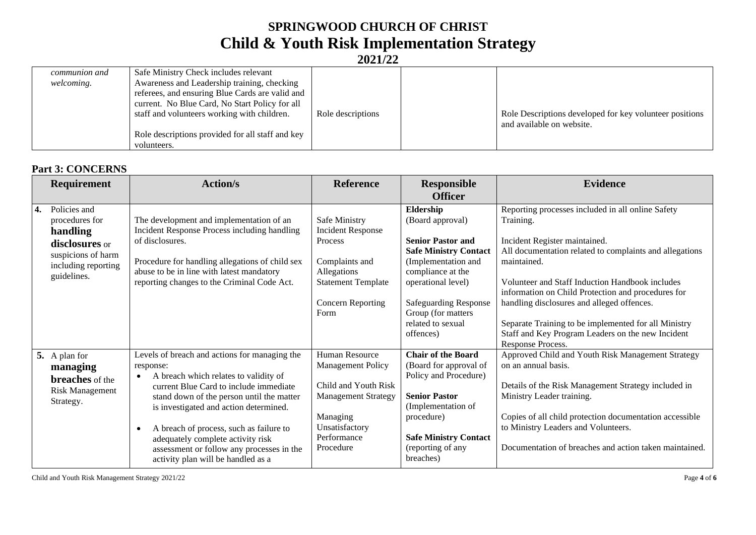# **SPRINGWOOD CHURCH OF CHRIST Child & Youth Risk Implementation Strategy**

**2021/22**

| communion and | Safe Ministry Check includes relevant            |                   |                                                         |
|---------------|--------------------------------------------------|-------------------|---------------------------------------------------------|
| welcoming.    | Awareness and Leadership training, checking      |                   |                                                         |
|               | referees, and ensuring Blue Cards are valid and  |                   |                                                         |
|               | current. No Blue Card, No Start Policy for all   |                   |                                                         |
|               | staff and volunteers working with children.      | Role descriptions | Role Descriptions developed for key volunteer positions |
|               |                                                  |                   | and available on website.                               |
|               | Role descriptions provided for all staff and key |                   |                                                         |
|               | volunteers.                                      |                   |                                                         |

#### **Part 3: CONCERNS**

|    | <b>Requirement</b>                                                                                                       | <b>Action/s</b>                                                                                                                                                                                                                                                                                                                                                                                                                   | <b>Reference</b>                                                                                                                                           | <b>Responsible</b><br><b>Officer</b>                                                                                                                                                                                                         | <b>Evidence</b>                                                                                                                                                                                                                                                                                                                                                                                                                                                    |
|----|--------------------------------------------------------------------------------------------------------------------------|-----------------------------------------------------------------------------------------------------------------------------------------------------------------------------------------------------------------------------------------------------------------------------------------------------------------------------------------------------------------------------------------------------------------------------------|------------------------------------------------------------------------------------------------------------------------------------------------------------|----------------------------------------------------------------------------------------------------------------------------------------------------------------------------------------------------------------------------------------------|--------------------------------------------------------------------------------------------------------------------------------------------------------------------------------------------------------------------------------------------------------------------------------------------------------------------------------------------------------------------------------------------------------------------------------------------------------------------|
| 4. | Policies and<br>procedures for<br>handling<br>disclosures or<br>suspicions of harm<br>including reporting<br>guidelines. | The development and implementation of an<br>Incident Response Process including handling<br>of disclosures.<br>Procedure for handling allegations of child sex<br>abuse to be in line with latest mandatory<br>reporting changes to the Criminal Code Act.                                                                                                                                                                        | Safe Ministry<br><b>Incident Response</b><br>Process<br>Complaints and<br>Allegations<br><b>Statement Template</b><br><b>Concern Reporting</b><br>Form     | Eldership<br>(Board approval)<br><b>Senior Pastor and</b><br><b>Safe Ministry Contact</b><br>(Implementation and<br>compliance at the<br>operational level)<br>Safeguarding Response<br>Group (for matters<br>related to sexual<br>offences) | Reporting processes included in all online Safety<br>Training.<br>Incident Register maintained.<br>All documentation related to complaints and allegations<br>maintained.<br>Volunteer and Staff Induction Handbook includes<br>information on Child Protection and procedures for<br>handling disclosures and alleged offences.<br>Separate Training to be implemented for all Ministry<br>Staff and Key Program Leaders on the new Incident<br>Response Process. |
|    | 5. A plan for<br>managing<br><b>breaches</b> of the<br><b>Risk Management</b><br>Strategy.                               | Levels of breach and actions for managing the<br>response:<br>A breach which relates to validity of<br>$\bullet$<br>current Blue Card to include immediate<br>stand down of the person until the matter<br>is investigated and action determined.<br>A breach of process, such as failure to<br>$\bullet$<br>adequately complete activity risk<br>assessment or follow any processes in the<br>activity plan will be handled as a | Human Resource<br><b>Management Policy</b><br>Child and Youth Risk<br><b>Management Strategy</b><br>Managing<br>Unsatisfactory<br>Performance<br>Procedure | <b>Chair of the Board</b><br>(Board for approval of<br>Policy and Procedure)<br><b>Senior Pastor</b><br>(Implementation of<br>procedure)<br><b>Safe Ministry Contact</b><br>(reporting of any<br>breaches)                                   | Approved Child and Youth Risk Management Strategy<br>on an annual basis.<br>Details of the Risk Management Strategy included in<br>Ministry Leader training.<br>Copies of all child protection documentation accessible<br>to Ministry Leaders and Volunteers.<br>Documentation of breaches and action taken maintained.                                                                                                                                           |

Child and Youth Risk Management Strategy 2021/22 Page **4** of **6**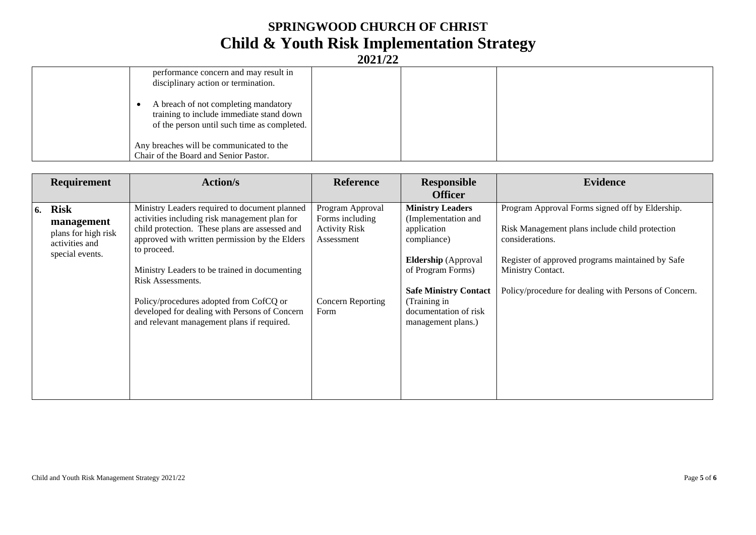# **SPRINGWOOD CHURCH OF CHRIST Child & Youth Risk Implementation Strategy**

**2021/22**

| performance concern and may result in<br>disciplinary action or termination.                                                    |  |  |
|---------------------------------------------------------------------------------------------------------------------------------|--|--|
| A breach of not completing mandatory<br>training to include immediate stand down<br>of the person until such time as completed. |  |  |
| Any breaches will be communicated to the<br>Chair of the Board and Senior Pastor.                                               |  |  |

|    | <b>Requirement</b>                                                                    | <b>Action/s</b>                                                                                                                                                                                                                                                                                                                                                                                                                   | <b>Reference</b>                                                                                              | <b>Responsible</b><br><b>Officer</b>                                                                                                                                                                                           | <b>Evidence</b>                                                                                                                                                                                                                                        |
|----|---------------------------------------------------------------------------------------|-----------------------------------------------------------------------------------------------------------------------------------------------------------------------------------------------------------------------------------------------------------------------------------------------------------------------------------------------------------------------------------------------------------------------------------|---------------------------------------------------------------------------------------------------------------|--------------------------------------------------------------------------------------------------------------------------------------------------------------------------------------------------------------------------------|--------------------------------------------------------------------------------------------------------------------------------------------------------------------------------------------------------------------------------------------------------|
| 6. | <b>Risk</b><br>management<br>plans for high risk<br>activities and<br>special events. | Ministry Leaders required to document planned<br>activities including risk management plan for<br>child protection. These plans are assessed and<br>approved with written permission by the Elders<br>to proceed.<br>Ministry Leaders to be trained in documenting<br>Risk Assessments.<br>Policy/procedures adopted from CofCQ or<br>developed for dealing with Persons of Concern<br>and relevant management plans if required. | Program Approval<br>Forms including<br><b>Activity Risk</b><br>Assessment<br><b>Concern Reporting</b><br>Form | <b>Ministry Leaders</b><br>(Implementation and<br>application<br>compliance)<br><b>Eldership</b> (Approval<br>of Program Forms)<br><b>Safe Ministry Contact</b><br>(Training in<br>documentation of risk<br>management plans.) | Program Approval Forms signed off by Eldership.<br>Risk Management plans include child protection<br>considerations.<br>Register of approved programs maintained by Safe<br>Ministry Contact.<br>Policy/procedure for dealing with Persons of Concern. |